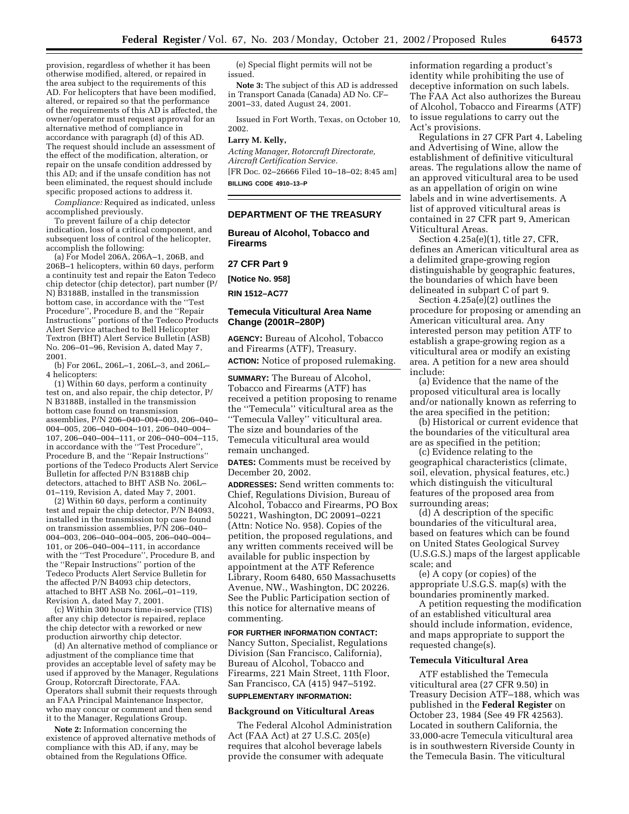provision, regardless of whether it has been otherwise modified, altered, or repaired in the area subject to the requirements of this AD. For helicopters that have been modified, altered, or repaired so that the performance of the requirements of this AD is affected, the owner/operator must request approval for an alternative method of compliance in accordance with paragraph (d) of this AD. The request should include an assessment of the effect of the modification, alteration, or repair on the unsafe condition addressed by this AD; and if the unsafe condition has not been eliminated, the request should include specific proposed actions to address it.

*Compliance:* Required as indicated, unless accomplished previously.

To prevent failure of a chip detector indication, loss of a critical component, and subsequent loss of control of the helicopter, accomplish the following:

(a) For Model 206A, 206A–1, 206B, and 206B–1 helicopters, within 60 days, perform a continuity test and repair the Eaton Tedeco chip detector (chip detector), part number (P/ N) B3188B, installed in the transmission bottom case, in accordance with the ''Test Procedure'', Procedure B, and the ''Repair Instructions'' portions of the Tedeco Products Alert Service attached to Bell Helicopter Textron (BHT) Alert Service Bulletin (ASB) No. 206–01–96, Revision A, dated May 7, 2001.

(b) For 206L, 206L–1, 206L–3, and 206L– 4 helicopters:

(1) Within 60 days, perform a continuity test on, and also repair, the chip detector, P/ N B3188B, installed in the transmission bottom case found on transmission assemblies, P/N 206–040–004–003, 206–040– 004–005, 206–040–004–101, 206–040–004– 107, 206–040–004–111, or 206–040–004–115, in accordance with the ''Test Procedure'', Procedure B, and the ''Repair Instructions'' portions of the Tedeco Products Alert Service Bulletin for affected P/N B3188B chip detectors, attached to BHT ASB No. 206L– 01–119, Revision A, dated May 7, 2001.

(2) Within 60 days, perform a continuity test and repair the chip detector, P/N B4093, installed in the transmission top case found on transmission assemblies, P/N 206–040– 004–003, 206–040–004–005, 206–040–004– 101, or 206–040–004–111, in accordance with the ''Test Procedure'', Procedure B, and the ''Repair Instructions'' portion of the Tedeco Products Alert Service Bulletin for the affected P/N B4093 chip detectors, attached to BHT ASB No. 206L–01–119, Revision A, dated May 7, 2001.

(c) Within 300 hours time-in-service (TIS) after any chip detector is repaired, replace the chip detector with a reworked or new production airworthy chip detector.

(d) An alternative method of compliance or adjustment of the compliance time that provides an acceptable level of safety may be used if approved by the Manager, Regulations Group, Rotorcraft Directorate, FAA. Operators shall submit their requests through an FAA Principal Maintenance Inspector, who may concur or comment and then send it to the Manager, Regulations Group.

**Note 2:** Information concerning the existence of approved alternative methods of compliance with this AD, if any, may be obtained from the Regulations Office.

(e) Special flight permits will not be issued.

**Note 3:** The subject of this AD is addressed in Transport Canada (Canada) AD No. CF– 2001–33, dated August 24, 2001.

Issued in Fort Worth, Texas, on October 10, 2002.

#### **Larry M. Kelly,**

*Acting Manager, Rotorcraft Directorate, Aircraft Certification Service.* [FR Doc. 02–26666 Filed 10–18–02; 8:45 am] **BILLING CODE 4910–13–P**

## **DEPARTMENT OF THE TREASURY**

**Bureau of Alcohol, Tobacco and Firearms** 

## **27 CFR Part 9**

**[Notice No. 958]** 

**RIN 1512–AC77** 

## **Temecula Viticultural Area Name Change (2001R–280P)**

**AGENCY:** Bureau of Alcohol, Tobacco and Firearms (ATF), Treasury. **ACTION:** Notice of proposed rulemaking.

**SUMMARY:** The Bureau of Alcohol, Tobacco and Firearms (ATF) has received a petition proposing to rename the ''Temecula'' viticultural area as the ''Temecula Valley'' viticultural area. The size and boundaries of the Temecula viticultural area would remain unchanged.

**DATES:** Comments must be received by December 20, 2002.

**ADDRESSES:** Send written comments to: Chief, Regulations Division, Bureau of Alcohol, Tobacco and Firearms, PO Box 50221, Washington, DC 20091–0221 (Attn: Notice No. 958). Copies of the petition, the proposed regulations, and any written comments received will be available for public inspection by appointment at the ATF Reference Library, Room 6480, 650 Massachusetts Avenue, NW., Washington, DC 20226. See the Public Participation section of this notice for alternative means of commenting.

## **FOR FURTHER INFORMATION CONTACT:**

Nancy Sutton, Specialist, Regulations Division (San Francisco, California), Bureau of Alcohol, Tobacco and Firearms, 221 Main Street, 11th Floor, San Francisco, CA (415) 947–5192. **SUPPLEMENTARY INFORMATION:** 

#### **Background on Viticultural Areas**

The Federal Alcohol Administration Act (FAA Act) at 27 U.S.C. 205(e) requires that alcohol beverage labels provide the consumer with adequate

information regarding a product's identity while prohibiting the use of deceptive information on such labels. The FAA Act also authorizes the Bureau of Alcohol, Tobacco and Firearms (ATF) to issue regulations to carry out the Act's provisions.

Regulations in 27 CFR Part 4, Labeling and Advertising of Wine, allow the establishment of definitive viticultural areas. The regulations allow the name of an approved viticultural area to be used as an appellation of origin on wine labels and in wine advertisements. A list of approved viticultural areas is contained in 27 CFR part 9, American Viticultural Areas.

Section 4.25a(e)(1), title 27, CFR, defines an American viticultural area as a delimited grape-growing region distinguishable by geographic features, the boundaries of which have been delineated in subpart C of part 9.

Section 4.25a(e)(2) outlines the procedure for proposing or amending an American viticultural area. Any interested person may petition ATF to establish a grape-growing region as a viticultural area or modify an existing area. A petition for a new area should include:

(a) Evidence that the name of the proposed viticultural area is locally and/or nationally known as referring to the area specified in the petition;

(b) Historical or current evidence that the boundaries of the viticultural area are as specified in the petition;

(c) Evidence relating to the geographical characteristics (climate, soil, elevation, physical features, etc.) which distinguish the viticultural features of the proposed area from surrounding areas;

(d) A description of the specific boundaries of the viticultural area, based on features which can be found on United States Geological Survey (U.S.G.S.) maps of the largest applicable scale; and

(e) A copy (or copies) of the appropriate U.S.G.S. map(s) with the boundaries prominently marked.

A petition requesting the modification of an established viticultural area should include information, evidence, and maps appropriate to support the requested change(s).

#### **Temecula Viticultural Area**

ATF established the Temecula viticultural area (27 CFR 9.50) in Treasury Decision ATF–188, which was published in the **Federal Register** on October 23, 1984 (See 49 FR 42563). Located in southern California, the 33,000-acre Temecula viticultural area is in southwestern Riverside County in the Temecula Basin. The viticultural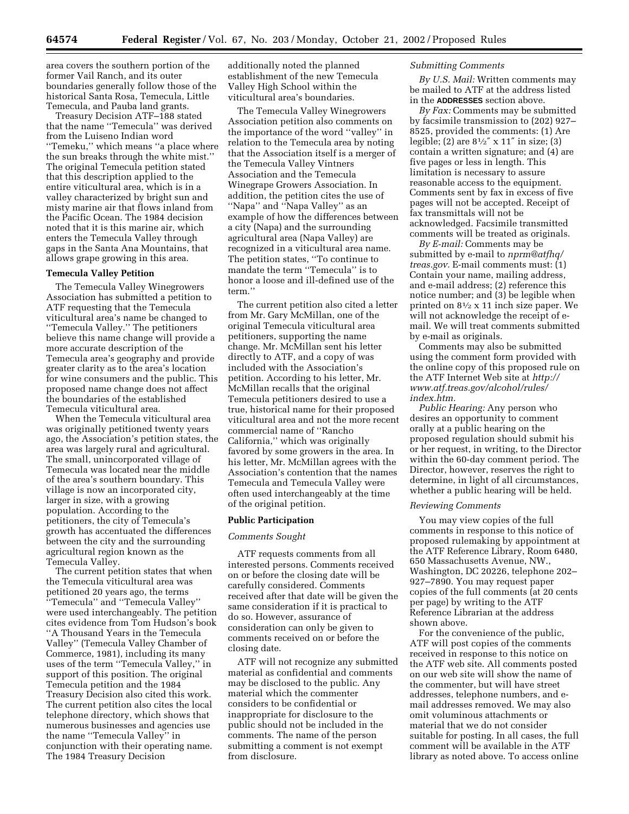area covers the southern portion of the former Vail Ranch, and its outer boundaries generally follow those of the historical Santa Rosa, Temecula, Little Temecula, and Pauba land grants.

Treasury Decision ATF–188 stated that the name ''Temecula'' was derived from the Luiseno Indian word ''Temeku,'' which means ''a place where the sun breaks through the white mist.'' The original Temecula petition stated that this description applied to the entire viticultural area, which is in a valley characterized by bright sun and misty marine air that flows inland from the Pacific Ocean. The 1984 decision noted that it is this marine air, which enters the Temecula Valley through gaps in the Santa Ana Mountains, that allows grape growing in this area.

### **Temecula Valley Petition**

The Temecula Valley Winegrowers Association has submitted a petition to ATF requesting that the Temecula viticultural area's name be changed to ''Temecula Valley.'' The petitioners believe this name change will provide a more accurate description of the Temecula area's geography and provide greater clarity as to the area's location for wine consumers and the public. This proposed name change does not affect the boundaries of the established Temecula viticultural area.

When the Temecula viticultural area was originally petitioned twenty years ago, the Association's petition states, the area was largely rural and agricultural. The small, unincorporated village of Temecula was located near the middle of the area's southern boundary. This village is now an incorporated city, larger in size, with a growing population. According to the petitioners, the city of Temecula's growth has accentuated the differences between the city and the surrounding agricultural region known as the Temecula Valley.

The current petition states that when the Temecula viticultural area was petitioned 20 years ago, the terms ''Temecula'' and ''Temecula Valley'' were used interchangeably. The petition cites evidence from Tom Hudson's book ''A Thousand Years in the Temecula Valley'' (Temecula Valley Chamber of Commerce, 1981), including its many uses of the term ''Temecula Valley,'' in support of this position. The original Temecula petition and the 1984 Treasury Decision also cited this work. The current petition also cites the local telephone directory, which shows that numerous businesses and agencies use the name ''Temecula Valley'' in conjunction with their operating name. The 1984 Treasury Decision

additionally noted the planned establishment of the new Temecula Valley High School within the viticultural area's boundaries.

The Temecula Valley Winegrowers Association petition also comments on the importance of the word ''valley'' in relation to the Temecula area by noting that the Association itself is a merger of the Temecula Valley Vintners Association and the Temecula Winegrape Growers Association. In addition, the petition cites the use of ''Napa'' and ''Napa Valley'' as an example of how the differences between a city (Napa) and the surrounding agricultural area (Napa Valley) are recognized in a viticultural area name. The petition states, ''To continue to mandate the term ''Temecula'' is to honor a loose and ill-defined use of the term.''

The current petition also cited a letter from Mr. Gary McMillan, one of the original Temecula viticultural area petitioners, supporting the name change. Mr. McMillan sent his letter directly to ATF, and a copy of was included with the Association's petition. According to his letter, Mr. McMillan recalls that the original Temecula petitioners desired to use a true, historical name for their proposed viticultural area and not the more recent commercial name of ''Rancho California,'' which was originally favored by some growers in the area. In his letter, Mr. McMillan agrees with the Association's contention that the names Temecula and Temecula Valley were often used interchangeably at the time of the original petition.

#### **Public Participation**

#### *Comments Sought*

ATF requests comments from all interested persons. Comments received on or before the closing date will be carefully considered. Comments received after that date will be given the same consideration if it is practical to do so. However, assurance of consideration can only be given to comments received on or before the closing date.

ATF will not recognize any submitted material as confidential and comments may be disclosed to the public. Any material which the commenter considers to be confidential or inappropriate for disclosure to the public should not be included in the comments. The name of the person submitting a comment is not exempt from disclosure.

### *Submitting Comments*

*By U.S. Mail:* Written comments may be mailed to ATF at the address listed in the **ADDRESSES** section above.

*By Fax:* Comments may be submitted by facsimile transmission to (202) 927– 8525, provided the comments: (1) Are legible; (2) are 81⁄2″ x 11″ in size; (3) contain a written signature; and (4) are five pages or less in length. This limitation is necessary to assure reasonable access to the equipment. Comments sent by fax in excess of five pages will not be accepted. Receipt of fax transmittals will not be acknowledged. Facsimile transmitted comments will be treated as originals.

*By E-mail:* Comments may be submitted by e-mail to *nprm@atfhq/ treas.gov.* E-mail comments must: (1) Contain your name, mailing address, and e-mail address; (2) reference this notice number; and (3) be legible when printed on 81⁄2 x 11 inch size paper. We will not acknowledge the receipt of email. We will treat comments submitted by e-mail as originals.

Comments may also be submitted using the comment form provided with the online copy of this proposed rule on the ATF Internet Web site at *http:// www.atf.treas.gov/alcohol/rules/ index.htm.*

*Public Hearing:* Any person who desires an opportunity to comment orally at a public hearing on the proposed regulation should submit his or her request, in writing, to the Director within the 60-day comment period. The Director, however, reserves the right to determine, in light of all circumstances, whether a public hearing will be held.

#### *Reviewing Comments*

You may view copies of the full comments in response to this notice of proposed rulemaking by appointment at the ATF Reference Library, Room 6480, 650 Massachusetts Avenue, NW., Washington, DC 20226, telephone 202– 927–7890. You may request paper copies of the full comments (at 20 cents per page) by writing to the ATF Reference Librarian at the address shown above.

For the convenience of the public, ATF will post copies of the comments received in response to this notice on the ATF web site. All comments posted on our web site will show the name of the commenter, but will have street addresses, telephone numbers, and email addresses removed. We may also omit voluminous attachments or material that we do not consider suitable for posting. In all cases, the full comment will be available in the ATF library as noted above. To access online